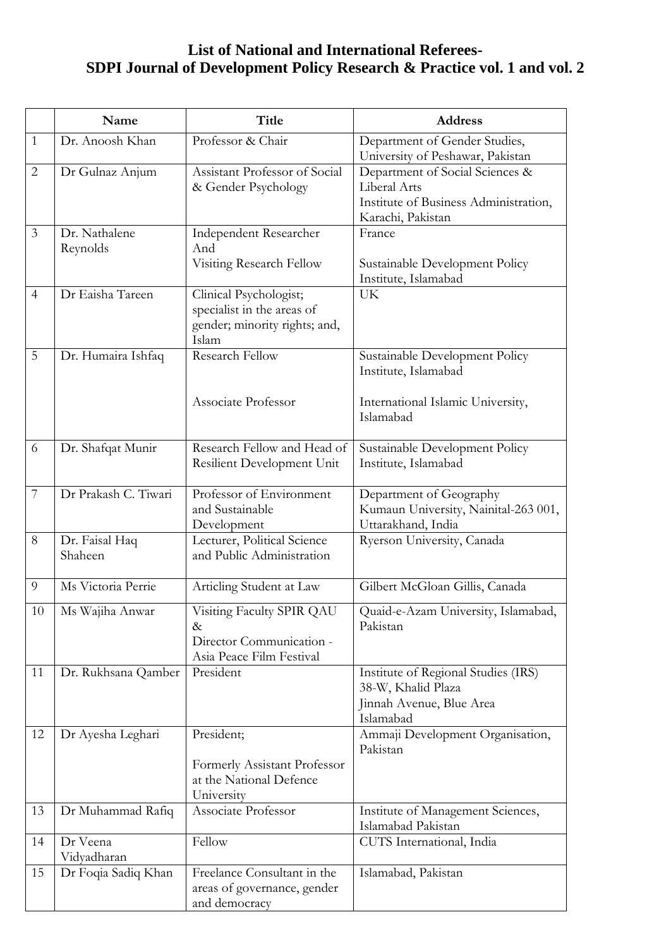## **List of National and International Referees-SDPI Journal of Development Policy Research & Practice vol. 1 and vol. 2**

|                | Name                      | <b>Title</b>                                                                                   | <b>Address</b>                                                                                                |
|----------------|---------------------------|------------------------------------------------------------------------------------------------|---------------------------------------------------------------------------------------------------------------|
| $\mathbf{1}$   | Dr. Anoosh Khan           | Professor & Chair                                                                              | Department of Gender Studies,<br>University of Peshawar, Pakistan                                             |
| $\overline{2}$ | Dr Gulnaz Anjum           | Assistant Professor of Social<br>& Gender Psychology                                           | Department of Social Sciences &<br>Liberal Arts<br>Institute of Business Administration,<br>Karachi, Pakistan |
| $\mathfrak{Z}$ | Dr. Nathalene<br>Reynolds | Independent Researcher<br>And<br>Visiting Research Fellow                                      | France<br>Sustainable Development Policy<br>Institute, Islamabad                                              |
| $\overline{4}$ | Dr Eaisha Tareen          | Clinical Psychologist;<br>specialist in the areas of<br>gender; minority rights; and,<br>Islam | <b>UK</b>                                                                                                     |
| 5              | Dr. Humaira Ishfaq        | <b>Research Fellow</b><br>Associate Professor                                                  | Sustainable Development Policy<br>Institute, Islamabad<br>International Islamic University,<br>Islamabad      |
| 6              | Dr. Shafqat Munir         | Research Fellow and Head of<br>Resilient Development Unit                                      | Sustainable Development Policy<br>Institute, Islamabad                                                        |
| 7              | Dr Prakash C. Tiwari      | Professor of Environment<br>and Sustainable<br>Development                                     | Department of Geography<br>Kumaun University, Nainital-263 001,<br>Uttarakhand, India                         |
| 8              | Dr. Faisal Haq<br>Shaheen | Lecturer, Political Science<br>and Public Administration                                       | Ryerson University, Canada                                                                                    |
| 9              | Ms Victoria Perrie        | Articling Student at Law                                                                       | Gilbert McGloan Gillis, Canada                                                                                |
| 10             | Ms Wajiha Anwar           | Visiting Faculty SPIR QAU<br>$\&$<br>Director Communication -<br>Asia Peace Film Festival      | Quaid-e-Azam University, Islamabad,<br>Pakistan                                                               |
| 11             | Dr. Rukhsana Qamber       | President                                                                                      | Institute of Regional Studies (IRS)<br>38-W, Khalid Plaza<br>Jinnah Avenue, Blue Area<br>Islamabad            |
| 12             | Dr Ayesha Leghari         | President;<br>Formerly Assistant Professor<br>at the National Defence<br>University            | Ammaji Development Organisation,<br>Pakistan                                                                  |
| 13             | Dr Muhammad Rafiq         | Associate Professor                                                                            | Institute of Management Sciences,<br>Islamabad Pakistan                                                       |
| 14             | Dr Veena<br>Vidyadharan   | Fellow                                                                                         | CUTS International, India                                                                                     |
| 15             | Dr Foqia Sadiq Khan       | Freelance Consultant in the<br>areas of governance, gender<br>and democracy                    | Islamabad, Pakistan                                                                                           |